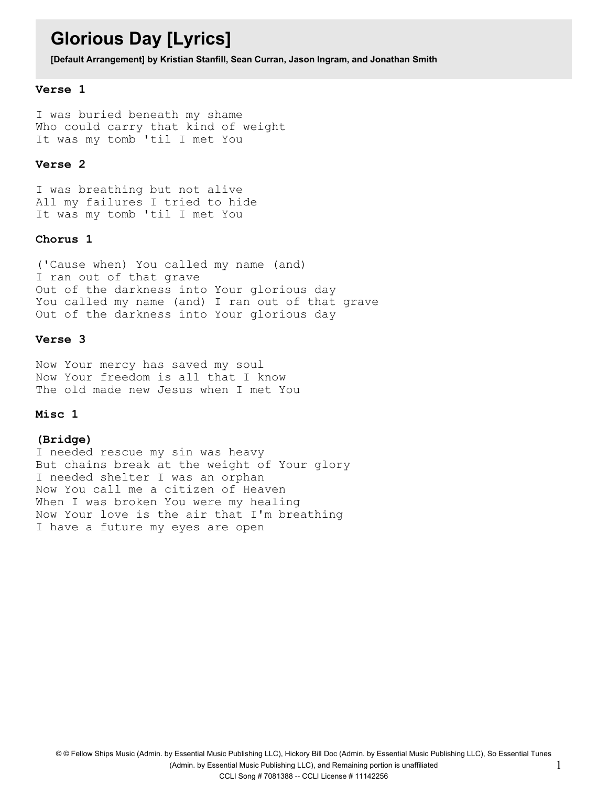# **Glorious Day [Lyrics]**

**[Default Arrangement] by Kristian Stanfill, Sean Curran, Jason Ingram, and Jonathan Smith**

#### **Verse 1**

I was buried beneath my shame Who could carry that kind of weight It was my tomb 'til I met You

### **Verse 2**

I was breathing but not alive All my failures I tried to hide It was my tomb 'til I met You

### **Chorus 1**

('Cause when) You called my name (and) I ran out of that grave Out of the darkness into Your glorious day You called my name (and) I ran out of that grave Out of the darkness into Your glorious day

#### **Verse 3**

Now Your mercy has saved my soul Now Your freedom is all that I know The old made new Jesus when I met You

### **Misc 1**

### **(Bridge)**

I needed rescue my sin was heavy But chains break at the weight of Your glory I needed shelter I was an orphan Now You call me a citizen of Heaven When I was broken You were my healing Now Your love is the air that I'm breathing I have a future my eyes are open

© © Fellow Ships Music (Admin. by Essential Music Publishing LLC), Hickory Bill Doc (Admin. by Essential Music Publishing LLC), So Essential Tunes (Admin. by Essential Music Publishing LLC), and Remaining portion is unaffiliated CCLI Song # 7081388 -- CCLI License # 11142256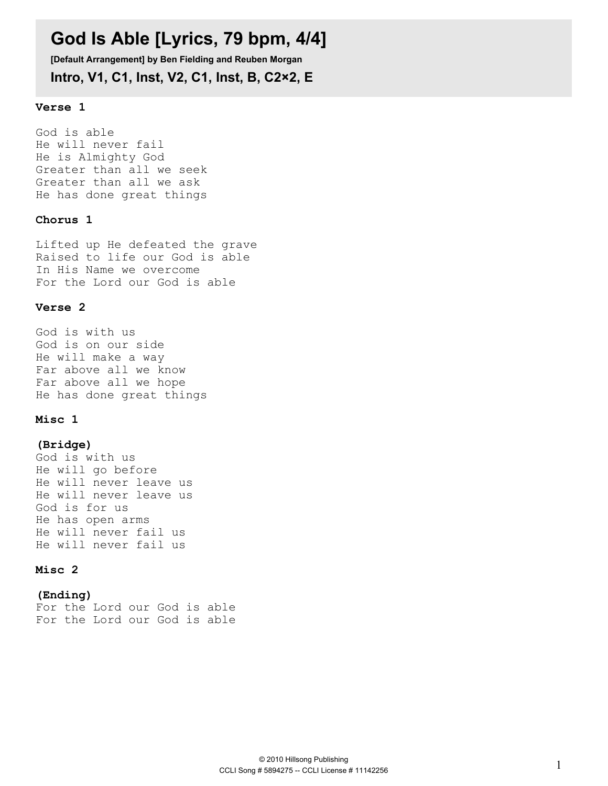# **God Is Able [Lyrics, 79 bpm, 4/4]**

**[Default Arrangement] by Ben Fielding and Reuben Morgan Intro, V1, C1, Inst, V2, C1, Inst, B, C2×2, E**

#### **Verse 1**

God is able He will never fail He is Almighty God Greater than all we seek Greater than all we ask He has done great things

## **Chorus 1**

Lifted up He defeated the grave Raised to life our God is able In His Name we overcome For the Lord our God is able

### **Verse 2**

God is with us God is on our side He will make a way Far above all we know Far above all we hope He has done great things

## **Misc 1**

## **(Bridge)**

God is with us He will go before He will never leave us He will never leave us God is for us He has open arms He will never fail us He will never fail us

### **Misc 2**

## **(Ending)**

For the Lord our God is able For the Lord our God is able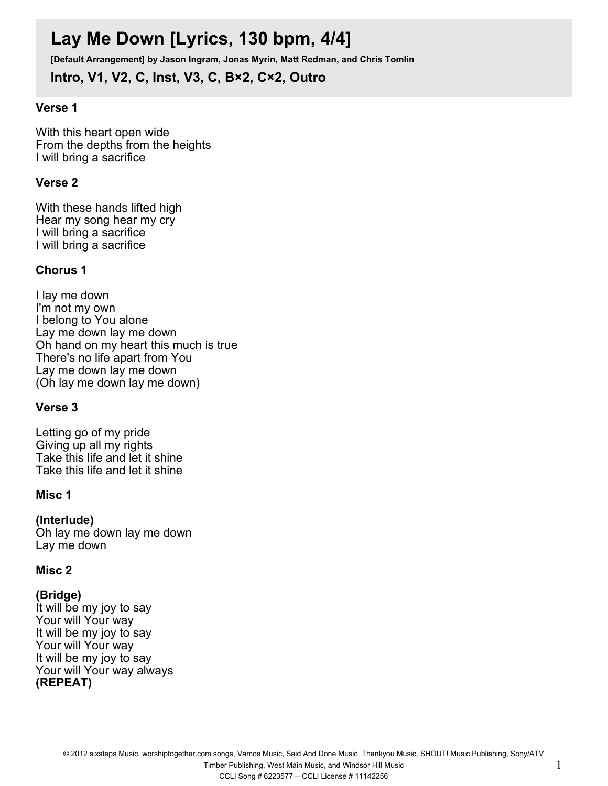# **Lay Me Down [Lyrics, 130 bpm, 4/4]**

**[Default Arrangement] by Jason Ingram, Jonas Myrin, Matt Redman, and Chris Tomlin**

**Intro, V1, V2, C, Inst, V3, C, B×2, C×2, Outro**

# **Verse 1**

With this heart open wide From the depths from the heights I will bring a sacrifice

# **Verse 2**

With these hands lifted high Hear my song hear my cry I will bring a sacrifice I will bring a sacrifice

# **Chorus 1**

I lay me down I'm not my own I belong to You alone Lay me down lay me down Oh hand on my heart this much is true There's no life apart from You Lay me down lay me down (Oh lay me down lay me down)

# **Verse 3**

Letting go of my pride Giving up all my rights Take this life and let it shine Take this life and let it shine

## **Misc 1**

**(Interlude)** Oh lay me down lay me down Lay me down

## **Misc 2**

## **(Bridge)**

It will be my joy to say Your will Your way It will be my joy to say Your will Your way It will be my joy to say Your will Your way always **(REPEAT)**

1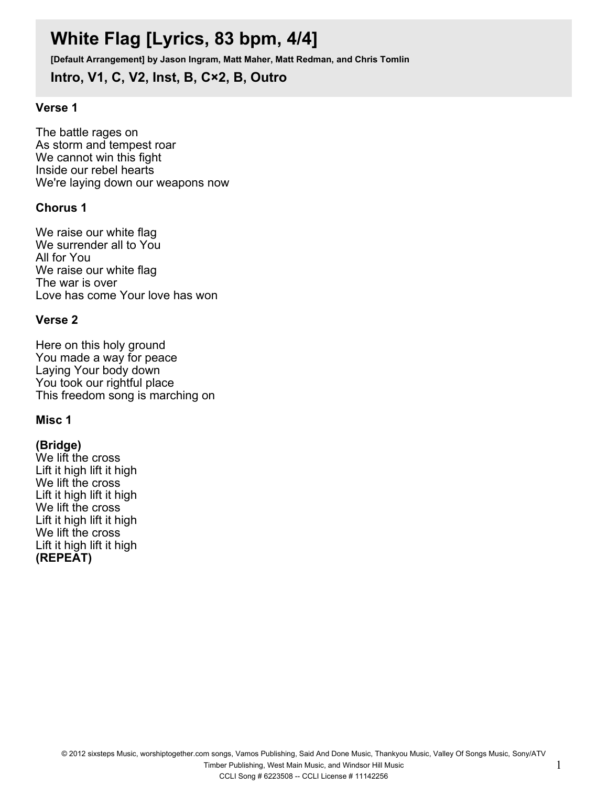# **White Flag [Lyrics, 83 bpm, 4/4]**

**[Default Arrangement] by Jason Ingram, Matt Maher, Matt Redman, and Chris Tomlin**

**Intro, V1, C, V2, Inst, B, C×2, B, Outro**

## **Verse 1**

The battle rages on As storm and tempest roar We cannot win this fight Inside our rebel hearts We're laying down our weapons now

# **Chorus 1**

We raise our white flag We surrender all to You All for You We raise our white flag The war is over Love has come Your love has won

## **Verse 2**

Here on this holy ground You made a way for peace Laying Your body down You took our rightful place This freedom song is marching on

## **Misc 1**

**(Bridge)** We lift the cross Lift it high lift it high We lift the cross Lift it high lift it high We lift the cross Lift it high lift it high We lift the cross Lift it high lift it high **(REPEAT)**